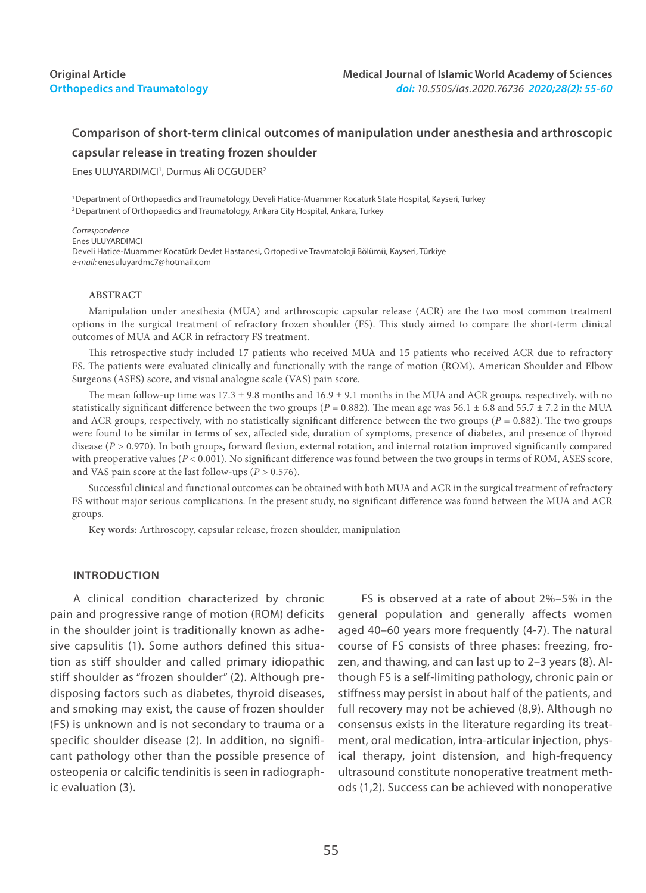# **Comparison of short-term clinical outcomes of manipulation under anesthesia and arthroscopic capsular release in treating frozen shoulder**

Enes ULUYARDIMCI<sup>1</sup>, Durmus Ali OCGUDER<sup>2</sup>

1 Department of Orthopaedics and Traumatology, Develi Hatice-Muammer Kocaturk State Hospital, Kayseri, Turkey 2 Department of Orthopaedics and Traumatology, Ankara City Hospital, Ankara, Turkey

*Correspondence* Enes ULUYARDIMCI Develi Hatice-Muammer Kocatürk Devlet Hastanesi, Ortopedi ve Travmatoloji Bölümü, Kayseri, Türkiye *e-mail:* enesuluyardmc7@hotmail.com

#### **ABSTRACT**

Manipulation under anesthesia (MUA) and arthroscopic capsular release (ACR) are the two most common treatment options in the surgical treatment of refractory frozen shoulder (FS). This study aimed to compare the short-term clinical outcomes of MUA and ACR in refractory FS treatment.

This retrospective study included 17 patients who received MUA and 15 patients who received ACR due to refractory FS. The patients were evaluated clinically and functionally with the range of motion (ROM), American Shoulder and Elbow Surgeons (ASES) score, and visual analogue scale (VAS) pain score.

The mean follow-up time was  $17.3 \pm 9.8$  months and  $16.9 \pm 9.1$  months in the MUA and ACR groups, respectively, with no statistically significant difference between the two groups ( $P = 0.882$ ). The mean age was 56.1  $\pm$  6.8 and 55.7  $\pm$  7.2 in the MUA and ACR groups, respectively, with no statistically significant difference between the two groups ( $P = 0.882$ ). The two groups were found to be similar in terms of sex, affected side, duration of symptoms, presence of diabetes, and presence of thyroid disease (*P* > 0.970). In both groups, forward flexion, external rotation, and internal rotation improved significantly compared with preoperative values (*P* < 0.001). No significant difference was found between the two groups in terms of ROM, ASES score, and VAS pain score at the last follow-ups (*P* > 0.576).

Successful clinical and functional outcomes can be obtained with both MUA and ACR in the surgical treatment of refractory FS without major serious complications. In the present study, no significant difference was found between the MUA and ACR groups.

**Key words:** Arthroscopy, capsular release, frozen shoulder, manipulation

## **INTRODUCTION**

A clinical condition characterized by chronic pain and progressive range of motion (ROM) deficits in the shoulder joint is traditionally known as adhesive capsulitis (1). Some authors defined this situation as stiff shoulder and called primary idiopathic stiff shoulder as "frozen shoulder" (2). Although predisposing factors such as diabetes, thyroid diseases, and smoking may exist, the cause of frozen shoulder (FS) is unknown and is not secondary to trauma or a specific shoulder disease (2). In addition, no significant pathology other than the possible presence of osteopenia or calcific tendinitis is seen in radiographic evaluation (3).

FS is observed at a rate of about 2%–5% in the general population and generally affects women aged 40–60 years more frequently (4-7). The natural course of FS consists of three phases: freezing, frozen, and thawing, and can last up to 2–3 years (8). Although FS is a self-limiting pathology, chronic pain or stiffness may persist in about half of the patients, and full recovery may not be achieved (8,9). Although no consensus exists in the literature regarding its treatment, oral medication, intra-articular injection, physical therapy, joint distension, and high-frequency ultrasound constitute nonoperative treatment methods (1,2). Success can be achieved with nonoperative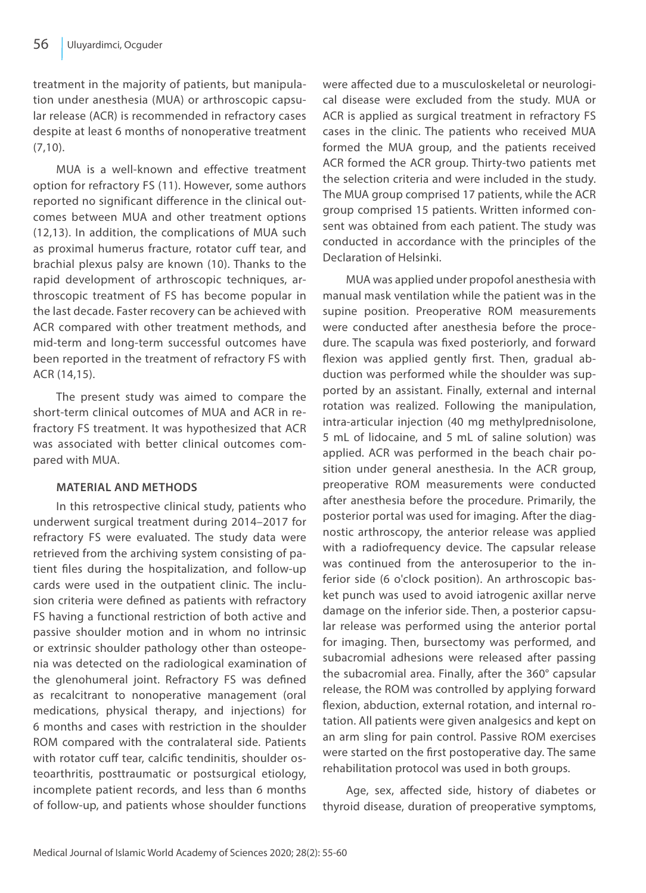treatment in the majority of patients, but manipulation under anesthesia (MUA) or arthroscopic capsular release (ACR) is recommended in refractory cases despite at least 6 months of nonoperative treatment (7,10).

MUA is a well-known and effective treatment option for refractory FS (11). However, some authors reported no significant difference in the clinical outcomes between MUA and other treatment options (12,13). In addition, the complications of MUA such as proximal humerus fracture, rotator cuff tear, and brachial plexus palsy are known (10). Thanks to the rapid development of arthroscopic techniques, arthroscopic treatment of FS has become popular in the last decade. Faster recovery can be achieved with ACR compared with other treatment methods, and mid-term and long-term successful outcomes have been reported in the treatment of refractory FS with ACR (14,15).

The present study was aimed to compare the short-term clinical outcomes of MUA and ACR in refractory FS treatment. It was hypothesized that ACR was associated with better clinical outcomes compared with MUA.

# **MATERIAL AND METHODS**

In this retrospective clinical study, patients who underwent surgical treatment during 2014–2017 for refractory FS were evaluated. The study data were retrieved from the archiving system consisting of patient files during the hospitalization, and follow-up cards were used in the outpatient clinic. The inclusion criteria were defined as patients with refractory FS having a functional restriction of both active and passive shoulder motion and in whom no intrinsic or extrinsic shoulder pathology other than osteopenia was detected on the radiological examination of the glenohumeral joint. Refractory FS was defined as recalcitrant to nonoperative management (oral medications, physical therapy, and injections) for 6 months and cases with restriction in the shoulder ROM compared with the contralateral side. Patients with rotator cuff tear, calcific tendinitis, shoulder osteoarthritis, posttraumatic or postsurgical etiology, incomplete patient records, and less than 6 months of follow-up, and patients whose shoulder functions were affected due to a musculoskeletal or neurological disease were excluded from the study. MUA or ACR is applied as surgical treatment in refractory FS cases in the clinic. The patients who received MUA formed the MUA group, and the patients received ACR formed the ACR group. Thirty-two patients met the selection criteria and were included in the study. The MUA group comprised 17 patients, while the ACR group comprised 15 patients. Written informed consent was obtained from each patient. The study was conducted in accordance with the principles of the Declaration of Helsinki.

MUA was applied under propofol anesthesia with manual mask ventilation while the patient was in the supine position. Preoperative ROM measurements were conducted after anesthesia before the procedure. The scapula was fixed posteriorly, and forward flexion was applied gently first. Then, gradual abduction was performed while the shoulder was supported by an assistant. Finally, external and internal rotation was realized. Following the manipulation, intra-articular injection (40 mg methylprednisolone, 5 mL of lidocaine, and 5 mL of saline solution) was applied. ACR was performed in the beach chair position under general anesthesia. In the ACR group, preoperative ROM measurements were conducted after anesthesia before the procedure. Primarily, the posterior portal was used for imaging. After the diagnostic arthroscopy, the anterior release was applied with a radiofrequency device. The capsular release was continued from the anterosuperior to the inferior side (6 o'clock position). An arthroscopic basket punch was used to avoid iatrogenic axillar nerve damage on the inferior side. Then, a posterior capsular release was performed using the anterior portal for imaging. Then, bursectomy was performed, and subacromial adhesions were released after passing the subacromial area. Finally, after the 360° capsular release, the ROM was controlled by applying forward flexion, abduction, external rotation, and internal rotation. All patients were given analgesics and kept on an arm sling for pain control. Passive ROM exercises were started on the first postoperative day. The same rehabilitation protocol was used in both groups.

Age, sex, affected side, history of diabetes or thyroid disease, duration of preoperative symptoms,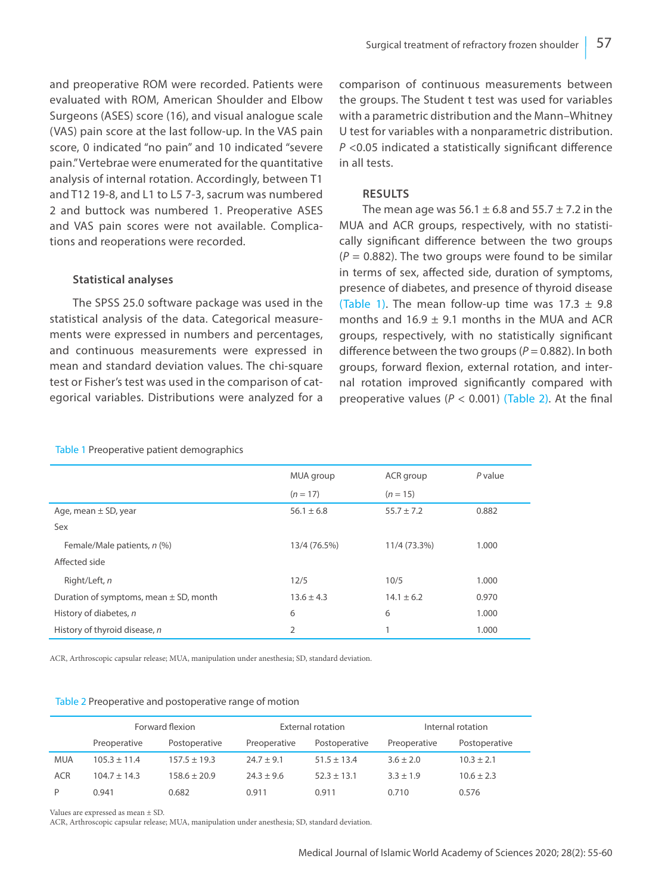and preoperative ROM were recorded. Patients were evaluated with ROM, American Shoulder and Elbow Surgeons (ASES) score (16), and visual analogue scale (VAS) pain score at the last follow-up. In the VAS pain score, 0 indicated "no pain" and 10 indicated "severe pain." Vertebrae were enumerated for the quantitative analysis of internal rotation. Accordingly, between T1 and T12 19-8, and L1 to L5 7-3, sacrum was numbered 2 and buttock was numbered 1. Preoperative ASES and VAS pain scores were not available. Complications and reoperations were recorded.

# **Statistical analyses**

The SPSS 25.0 software package was used in the statistical analysis of the data. Categorical measurements were expressed in numbers and percentages, and continuous measurements were expressed in mean and standard deviation values. The chi-square test or Fisher's test was used in the comparison of categorical variables. Distributions were analyzed for a comparison of continuous measurements between the groups. The Student t test was used for variables with a parametric distribution and the Mann–Whitney U test for variables with a nonparametric distribution. *P* <0.05 indicated a statistically significant difference in all tests.

# **RESULTS**

The mean age was  $56.1 \pm 6.8$  and  $55.7 \pm 7.2$  in the MUA and ACR groups, respectively, with no statistically significant difference between the two groups  $(P = 0.882)$ . The two groups were found to be similar in terms of sex, affected side, duration of symptoms, presence of diabetes, and presence of thyroid disease (Table 1). The mean follow-up time was  $17.3 \pm 9.8$ months and  $16.9 \pm 9.1$  months in the MUA and ACR groups, respectively, with no statistically significant difference between the two groups (*P* = 0.882). In both groups, forward flexion, external rotation, and internal rotation improved significantly compared with preoperative values ( $P < 0.001$ ) (Table 2). At the final

|                                            | MUA group      | ACR group      | $P$ value |
|--------------------------------------------|----------------|----------------|-----------|
|                                            | $(n = 17)$     | $(n = 15)$     |           |
| Age, mean $\pm$ SD, year                   | $56.1 \pm 6.8$ | $55.7 \pm 7.2$ | 0.882     |
| Sex                                        |                |                |           |
| Female/Male patients, n (%)                | 13/4 (76.5%)   | 11/4 (73.3%)   | 1.000     |
| Affected side                              |                |                |           |
| Right/Left, n                              | 12/5           | 10/5           | 1.000     |
| Duration of symptoms, mean $\pm$ SD, month | $13.6 \pm 4.3$ | $14.1 \pm 6.2$ | 0.970     |
| History of diabetes, n                     | 6              | 6              | 1.000     |
| History of thyroid disease, n              | 2              | 1              | 1.000     |

#### Table 1 Preoperative patient demographics

ACR, Arthroscopic capsular release; MUA, manipulation under anesthesia; SD, standard deviation.

#### Table 2 Preoperative and postoperative range of motion

|            | Forward flexion  |                  | External rotation |                 | Internal rotation |                |
|------------|------------------|------------------|-------------------|-----------------|-------------------|----------------|
|            | Preoperative     | Postoperative    | Preoperative      | Postoperative   | Preoperative      | Postoperative  |
| <b>MUA</b> | $105.3 \pm 11.4$ | $157.5 \pm 19.3$ | $74.7 + 9.1$      | $51.5 \pm 13.4$ | $3.6 \pm 2.0$     | $10.3 \pm 2.1$ |
| <b>ACR</b> | $104.7 \pm 14.3$ | $158.6 \pm 20.9$ | $24.3 \pm 9.6$    | $52.3 \pm 13.1$ | $3.3 + 1.9$       | $10.6 \pm 2.3$ |
| P          | 0.941            | 0.682            | 0.911             | 0.911           | 0.710             | 0.576          |

Values are expressed as mean ± SD.

ACR, Arthroscopic capsular release; MUA, manipulation under anesthesia; SD, standard deviation.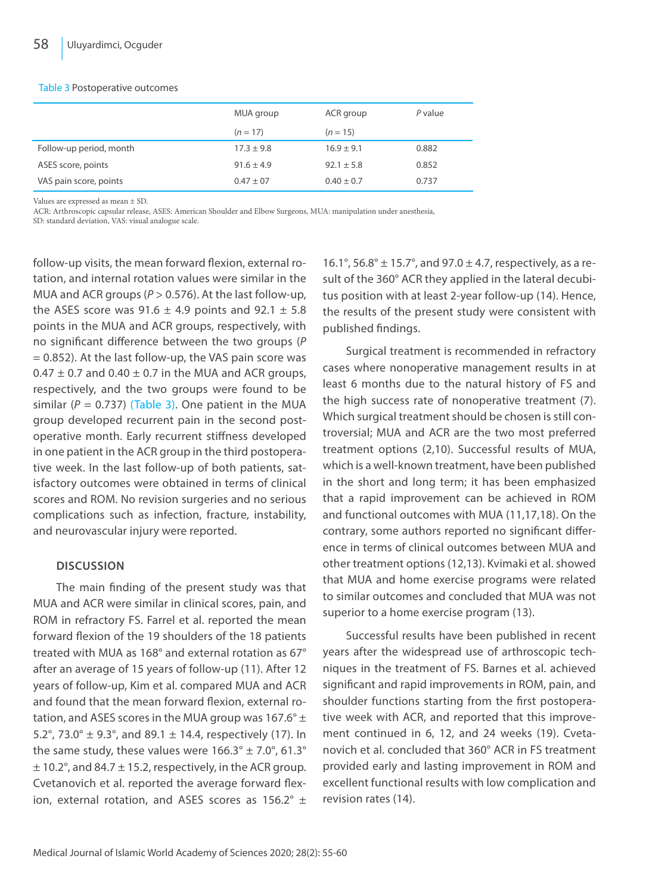#### Table 3 Postoperative outcomes

|                         | MUA group      | ACR group      | P value |
|-------------------------|----------------|----------------|---------|
|                         | $(n = 17)$     | $(n = 15)$     |         |
| Follow-up period, month | $17.3 \pm 9.8$ | $16.9 \pm 9.1$ | 0.882   |
| ASES score, points      | $91.6 \pm 4.9$ | $92.1 \pm 5.8$ | 0.852   |
| VAS pain score, points  | $0.47 \pm 07$  | $0.40 \pm 0.7$ | 0.737   |

Values are expressed as mean ± SD.

ACR: Arthroscopic capsular release, ASES: American Shoulder and Elbow Surgeons, MUA: manipulation under anesthesia,

SD: standard deviation, VAS: visual analogue scale.

follow-up visits, the mean forward flexion, external rotation, and internal rotation values were similar in the MUA and ACR groups (*P* > 0.576). At the last follow-up, the ASES score was 91.6  $\pm$  4.9 points and 92.1  $\pm$  5.8 points in the MUA and ACR groups, respectively, with no significant difference between the two groups (*P*   $= 0.852$ ). At the last follow-up, the VAS pain score was  $0.47 \pm 0.7$  and  $0.40 \pm 0.7$  in the MUA and ACR groups, respectively, and the two groups were found to be similar  $(P = 0.737)$  (Table 3). One patient in the MUA group developed recurrent pain in the second postoperative month. Early recurrent stiffness developed in one patient in the ACR group in the third postoperative week. In the last follow-up of both patients, satisfactory outcomes were obtained in terms of clinical scores and ROM. No revision surgeries and no serious complications such as infection, fracture, instability, and neurovascular injury were reported.

## **DISCUSSION**

The main finding of the present study was that MUA and ACR were similar in clinical scores, pain, and ROM in refractory FS. Farrel et al. reported the mean forward flexion of the 19 shoulders of the 18 patients treated with MUA as 168° and external rotation as 67° after an average of 15 years of follow-up (11). After 12 years of follow-up, Kim et al. compared MUA and ACR and found that the mean forward flexion, external rotation, and ASES scores in the MUA group was 167.6 $\degree$  ± 5.2°, 73.0°  $\pm$  9.3°, and 89.1  $\pm$  14.4, respectively (17). In the same study, these values were  $166.3^{\circ} \pm 7.0^{\circ}$ , 61.3°  $\pm$  10.2°, and 84.7  $\pm$  15.2, respectively, in the ACR group. Cvetanovich et al. reported the average forward flexion, external rotation, and ASES scores as  $156.2^{\circ}$  ± 16.1°, 56.8°  $\pm$  15.7°, and 97.0  $\pm$  4.7, respectively, as a result of the 360° ACR they applied in the lateral decubitus position with at least 2-year follow-up (14). Hence, the results of the present study were consistent with published findings.

Surgical treatment is recommended in refractory cases where nonoperative management results in at least 6 months due to the natural history of FS and the high success rate of nonoperative treatment (7). Which surgical treatment should be chosen is still controversial; MUA and ACR are the two most preferred treatment options (2,10). Successful results of MUA, which is a well-known treatment, have been published in the short and long term; it has been emphasized that a rapid improvement can be achieved in ROM and functional outcomes with MUA (11,17,18). On the contrary, some authors reported no significant difference in terms of clinical outcomes between MUA and other treatment options (12,13). Kvimaki et al. showed that MUA and home exercise programs were related to similar outcomes and concluded that MUA was not superior to a home exercise program (13).

Successful results have been published in recent years after the widespread use of arthroscopic techniques in the treatment of FS. Barnes et al. achieved significant and rapid improvements in ROM, pain, and shoulder functions starting from the first postoperative week with ACR, and reported that this improvement continued in 6, 12, and 24 weeks (19). Cvetanovich et al. concluded that 360° ACR in FS treatment provided early and lasting improvement in ROM and excellent functional results with low complication and revision rates (14).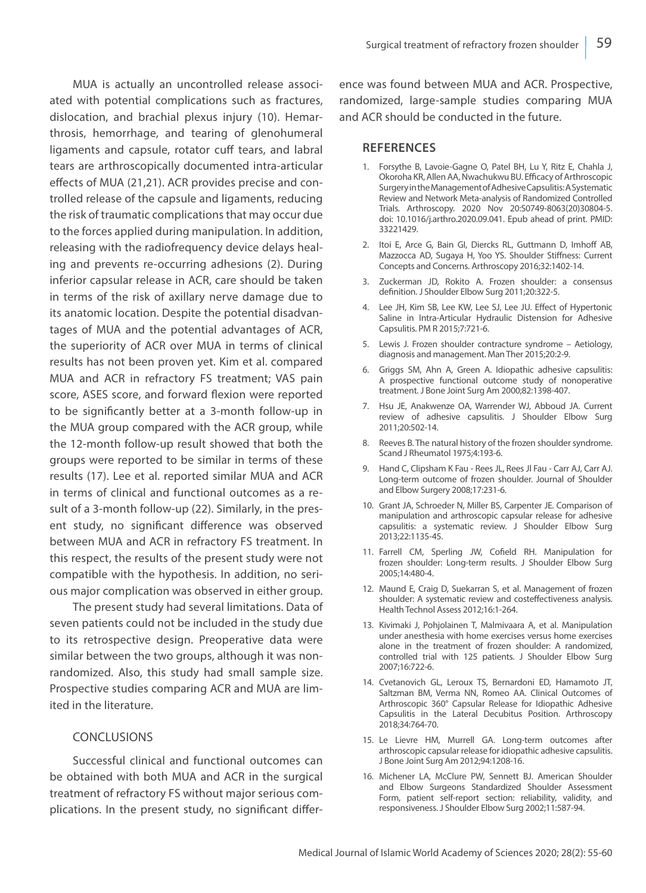MUA is actually an uncontrolled release associated with potential complications such as fractures, dislocation, and brachial plexus injury (10). Hemarthrosis, hemorrhage, and tearing of glenohumeral ligaments and capsule, rotator cuff tears, and labral tears are arthroscopically documented intra-articular effects of MUA (21,21). ACR provides precise and controlled release of the capsule and ligaments, reducing the risk of traumatic complications that may occur due to the forces applied during manipulation. In addition, releasing with the radiofrequency device delays healing and prevents re-occurring adhesions (2). During inferior capsular release in ACR, care should be taken in terms of the risk of axillary nerve damage due to its anatomic location. Despite the potential disadvantages of MUA and the potential advantages of ACR, the superiority of ACR over MUA in terms of clinical results has not been proven yet. Kim et al. compared MUA and ACR in refractory FS treatment; VAS pain score, ASES score, and forward flexion were reported to be significantly better at a 3-month follow-up in the MUA group compared with the ACR group, while the 12-month follow-up result showed that both the groups were reported to be similar in terms of these results (17). Lee et al. reported similar MUA and ACR in terms of clinical and functional outcomes as a result of a 3-month follow-up (22). Similarly, in the present study, no significant difference was observed between MUA and ACR in refractory FS treatment. In this respect, the results of the present study were not compatible with the hypothesis. In addition, no serious major complication was observed in either group.

The present study had several limitations. Data of seven patients could not be included in the study due to its retrospective design. Preoperative data were similar between the two groups, although it was nonrandomized. Also, this study had small sample size. Prospective studies comparing ACR and MUA are limited in the literature.

## CONCLUSIONS

Successful clinical and functional outcomes can be obtained with both MUA and ACR in the surgical treatment of refractory FS without major serious complications. In the present study, no significant difference was found between MUA and ACR. Prospective, randomized, large-sample studies comparing MUA and ACR should be conducted in the future.

### **REFERENCES**

- 1. Forsythe B, Lavoie-Gagne O, Patel BH, Lu Y, Ritz E, Chahla J, Okoroha KR, Allen AA, Nwachukwu BU. Efficacy of Arthroscopic Surgery in the Management of Adhesive Capsulitis: A Systematic Review and Network Meta-analysis of Randomized Controlled Trials. Arthroscopy. 2020 Nov 20:S0749-8063(20)30804-5. doi: 10.1016/j.arthro.2020.09.041. Epub ahead of print. PMID: 33221429.
- 2. Itoi E, Arce G, Bain GI, Diercks RL, Guttmann D, Imhoff AB, Mazzocca AD, Sugaya H, Yoo YS. Shoulder Stiffness: Current Concepts and Concerns. Arthroscopy 2016;32:1402-14.
- 3. Zuckerman JD, Rokito A. Frozen shoulder: a consensus definition. J Shoulder Elbow Surg 2011;20:322-5.
- 4. Lee JH, Kim SB, Lee KW, Lee SJ, Lee JU. Effect of Hypertonic Saline in Intra-Articular Hydraulic Distension for Adhesive Capsulitis. PM R 2015;7:721-6.
- 5. Lewis J. Frozen shoulder contracture syndrome Aetiology, diagnosis and management. Man Ther 2015;20:2-9.
- 6. Griggs SM, Ahn A, Green A. Idiopathic adhesive capsulitis: A prospective functional outcome study of nonoperative treatment. J Bone Joint Surg Am 2000;82:1398-407.
- 7. Hsu JE, Anakwenze OA, Warrender WJ, Abboud JA. Current review of adhesive capsulitis. J Shoulder Elbow Surg 2011;20:502-14.
- 8. Reeves B. The natural history of the frozen shoulder syndrome. Scand J Rheumatol 1975;4:193-6.
- 9. Hand C, Clipsham K Fau Rees JL, Rees Jl Fau Carr AJ, Carr AJ. Long-term outcome of frozen shoulder. Journal of Shoulder and Elbow Surgery 2008;17:231-6.
- 10. Grant JA, Schroeder N, Miller BS, Carpenter JE. Comparison of manipulation and arthroscopic capsular release for adhesive capsulitis: a systematic review. J Shoulder Elbow Surg 2013;22:1135-45.
- 11. Farrell CM, Sperling JW, Cofield RH. Manipulation for frozen shoulder: Long-term results. J Shoulder Elbow Surg 2005;14:480-4.
- 12. Maund E, Craig D, Suekarran S, et al. Management of frozen shoulder: A systematic review and costeffectiveness analysis. Health Technol Assess 2012;16:1-264.
- 13. Kivimaki J, Pohjolainen T, Malmivaara A, et al. Manipulation under anesthesia with home exercises versus home exercises alone in the treatment of frozen shoulder: A randomized, controlled trial with 125 patients. J Shoulder Elbow Surg 2007;16:722-6.
- 14. Cvetanovich GL, Leroux TS, Bernardoni ED, Hamamoto JT, Saltzman BM, Verma NN, Romeo AA. Clinical Outcomes of Arthroscopic 360° Capsular Release for Idiopathic Adhesive Capsulitis in the Lateral Decubitus Position. Arthroscopy 2018;34:764-70.
- 15. Le Lievre HM, Murrell GA. Long-term outcomes after arthroscopic capsular release for idiopathic adhesive capsulitis. J Bone Joint Surg Am 2012;94:1208-16.
- 16. Michener LA, McClure PW, Sennett BJ. American Shoulder and Elbow Surgeons Standardized Shoulder Assessment Form, patient self-report section: reliability, validity, and responsiveness. J Shoulder Elbow Surg 2002;11:587-94.